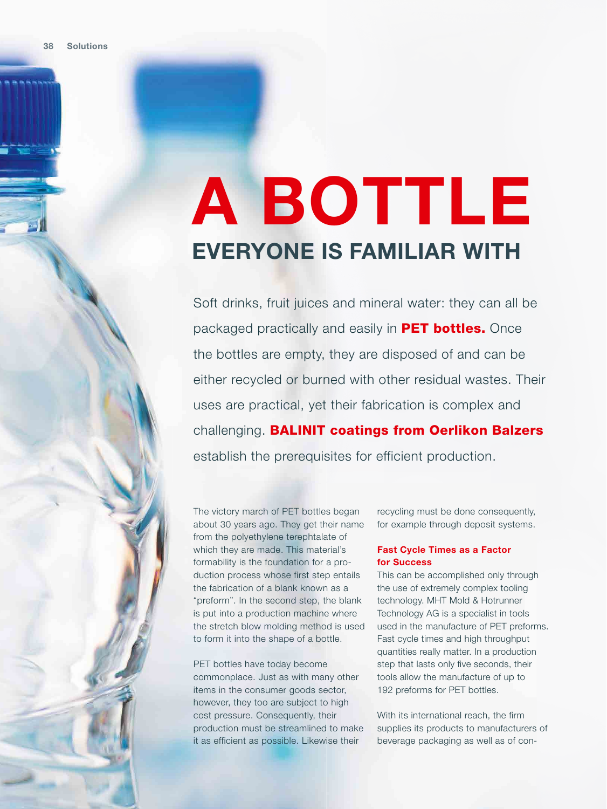## **A BOTTLE EVERYONE IS FAMILIAR WITH**

Soft drinks, fruit juices and mineral water: they can all be packaged practically and easily in **PET bottles.** Once the bottles are empty, they are disposed of and can be either recycled or burned with other residual wastes. Their uses are practical, yet their fabrication is complex and challenging. BALINIT coatings from Oerlikon Balzers establish the prerequisites for efficient production.

The victory march of PET bottles began about 30 years ago. They get their name from the polyethylene terephtalate of which they are made. This material's formability is the foundation for a production process whose first step entails the fabrication of a blank known as a "preform". In the second step, the blank is put into a production machine where the stretch blow molding method is used to form it into the shape of a bottle.

PET bottles have today become commonplace. Just as with many other items in the consumer goods sector, however, they too are subject to high cost pressure. Consequently, their production must be streamlined to make it as efficient as possible. Likewise their

recycling must be done consequently, for example through deposit systems.

## **Fast Cycle Times as a Factor for Success**

This can be accomplished only through the use of extremely complex tooling technology. MHT Mold & Hotrunner Technology AG is a specialist in tools used in the manufacture of PET preforms. Fast cycle times and high throughput quantities really matter. In a production step that lasts only five seconds, their tools allow the manufacture of up to 192 preforms for PET bottles.

With its international reach, the firm supplies its products to manufacturers of beverage packaging as well as of con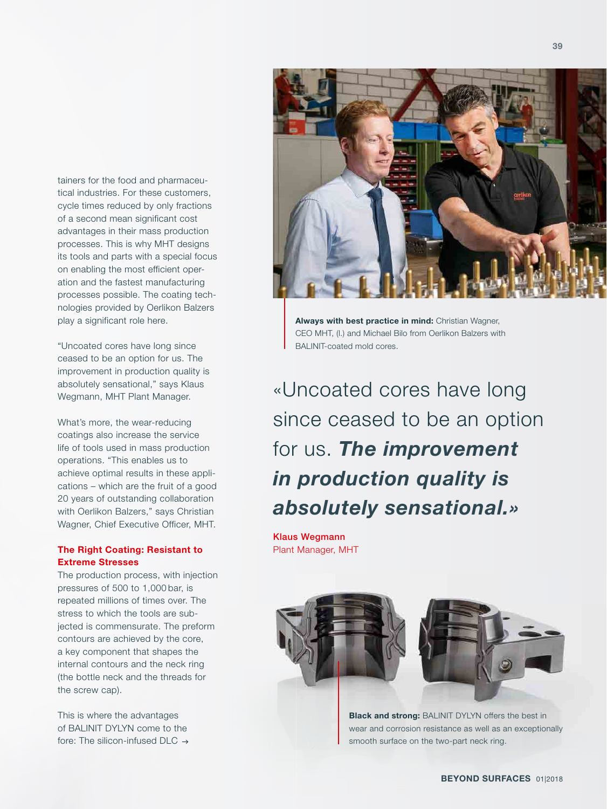tainers for the food and pharmaceutical industries. For these customers, cycle times reduced by only fractions of a second mean significant cost

advantages in their mass production processes. This is why MHT designs its tools and parts with a special focus on enabling the most efficient operation and the fastest manufacturing processes possible. The coating technologies provided by Oerlikon Balzers play a significant role here.

"Uncoated cores have long since ceased to be an option for us. The improvement in production quality is absolutely sensational," says Klaus Wegmann, MHT Plant Manager.

What's more, the wear-reducing coatings also increase the service life of tools used in mass production operations. "This enables us to achieve optimal results in these applications – which are the fruit of a good 20 years of outstanding collaboration with Oerlikon Balzers," says Christian Wagner, Chief Executive Officer, MHT.

## **The Right Coating: Resistant to Extreme Stresses**

The production process, with injection pressures of 500 to 1,000 bar, is repeated millions of times over. The stress to which the tools are subjected is commensurate. The preform contours are achieved by the core, a key component that shapes the internal contours and the neck ring (the bottle neck and the threads for the screw cap).

This is where the advantages of BALINIT DYLYN come to the fore: The silicon-infused DLC  $\rightarrow$ 



**Always with best practice in mind:** Christian Wagner, CEO MHT, (l.) and Michael Bilo from Oerlikon Balzers with BALINIT-coated mold cores.

«Uncoated cores have long since ceased to be an option for us. *The improvement in production quality is absolutely sensational.»*

Klaus Wegmann Plant Manager, MHT





**Black and strong:** BALINIT DYLYN offers the best in wear and corrosion resistance as well as an exceptionally smooth surface on the two-part neck ring.